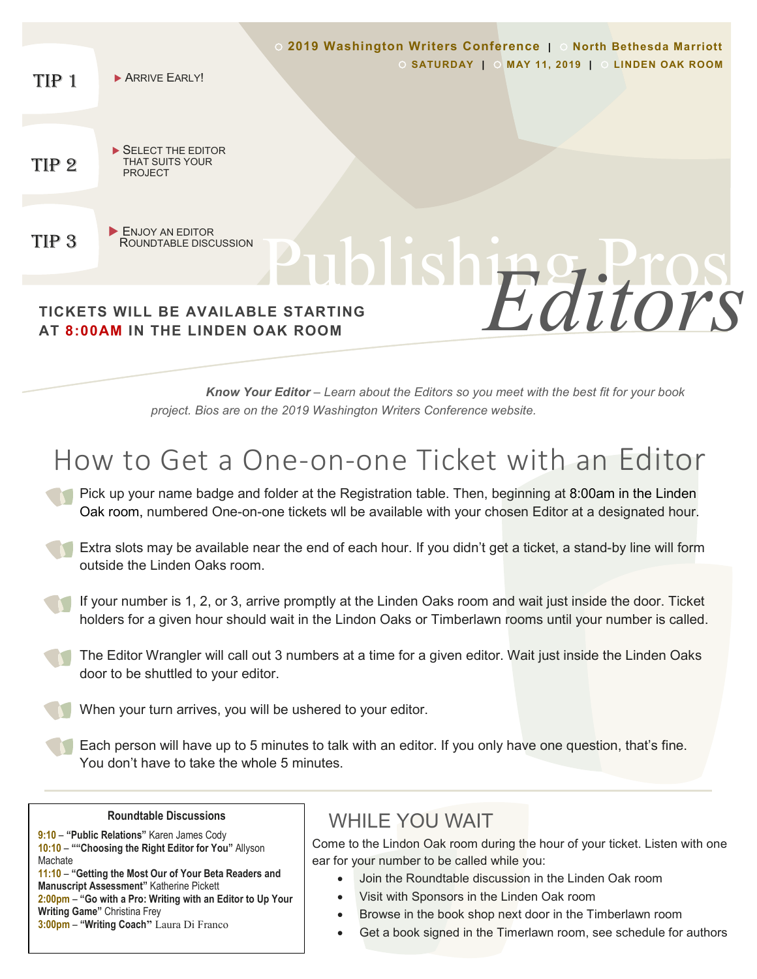

You don't have to take the whole 5 minutes.

# **Roundtable Discussions**

**9:10** – **"Public Relations"** Karen James Cody **10:10** – **""Choosing the Right Editor for You"** Allyson **Machate** 

 $\overline{\phantom{0}}$ 

**11:10** – **"Getting the Most Our of Your Beta Readers and Manuscript Assessment"** Katherine Pickett **2:00pm** – **"Go with a Pro: Writing with an Editor to Up Your Writing Game"** Christina Frey **3:00pm** – **"Writing Coach"** Laura Di Franco

# WHII F YOU WAIT

Come to the Lindon Oak room during the hour of your ticket. Listen with one ear for your number to be called while you:

- Join the Roundtable discussion in the Linden Oak room
- Visit with Sponsors in the Linden Oak room
	- Browse in the book shop next door in the Timberlawn room
- Get a book signed in the Timerlawn room, see schedule for authors